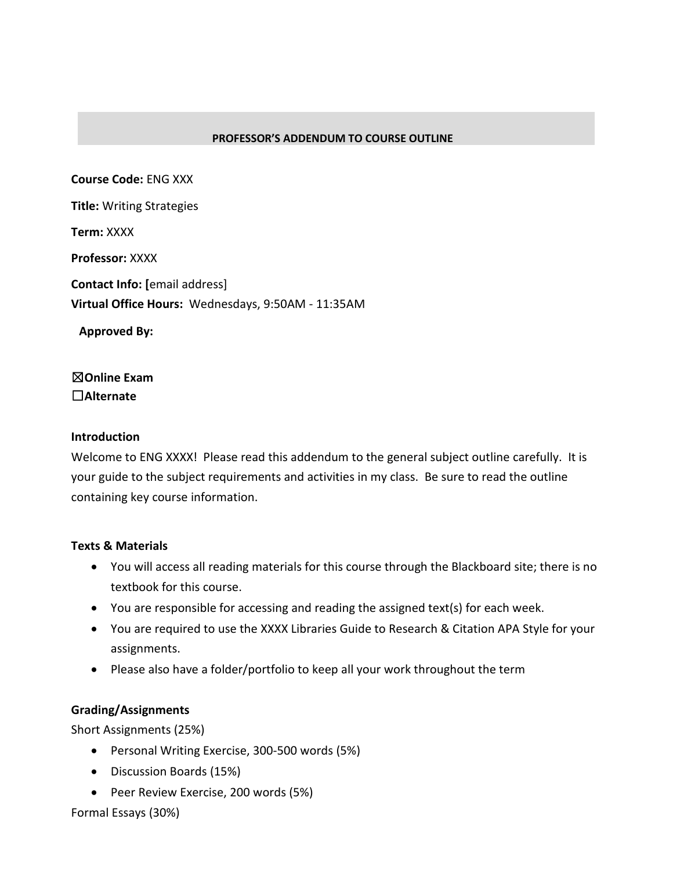### **PROFESSOR'S ADDENDUM TO COURSE OUTLINE**

**Course Code:** ENG XXX **Title:** Writing Strategies **Term:** XXXX **Professor:** XXXX **Contact Info: [**email address] **Virtual Office Hours:** Wednesdays, 9:50AM - 11:35AM

**Approved By:** 

☒**Online Exam** ☐**Alternate**

### **Introduction**

Welcome to ENG XXXX! Please read this addendum to the general subject outline carefully. It is your guide to the subject requirements and activities in my class. Be sure to read the outline containing key course information.

### **Texts & Materials**

- You will access all reading materials for this course through the Blackboard site; there is no textbook for this course.
- You are responsible for accessing and reading the assigned text(s) for each week.
- You are required to use the XXXX Libraries Guide to Research & Citation APA Style for your assignments.
- Please also have a folder/portfolio to keep all your work throughout the term

### **Grading/Assignments**

Short Assignments (25%)

- Personal Writing Exercise, 300-500 words (5%)
- Discussion Boards (15%)
- Peer Review Exercise, 200 words (5%)

Formal Essays (30%)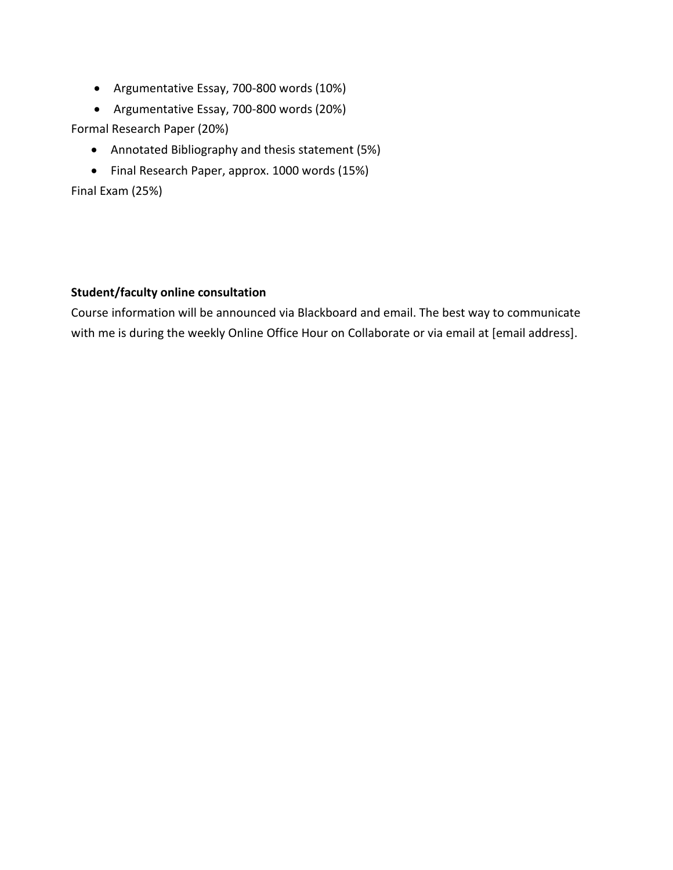- Argumentative Essay, 700-800 words (10%)
- Argumentative Essay, 700-800 words (20%)

Formal Research Paper (20%)

- Annotated Bibliography and thesis statement (5%)
- Final Research Paper, approx. 1000 words (15%)

Final Exam (25%)

# **Student/faculty online consultation**

Course information will be announced via Blackboard and email. The best way to communicate with me is during the weekly Online Office Hour on Collaborate or via email at [email address].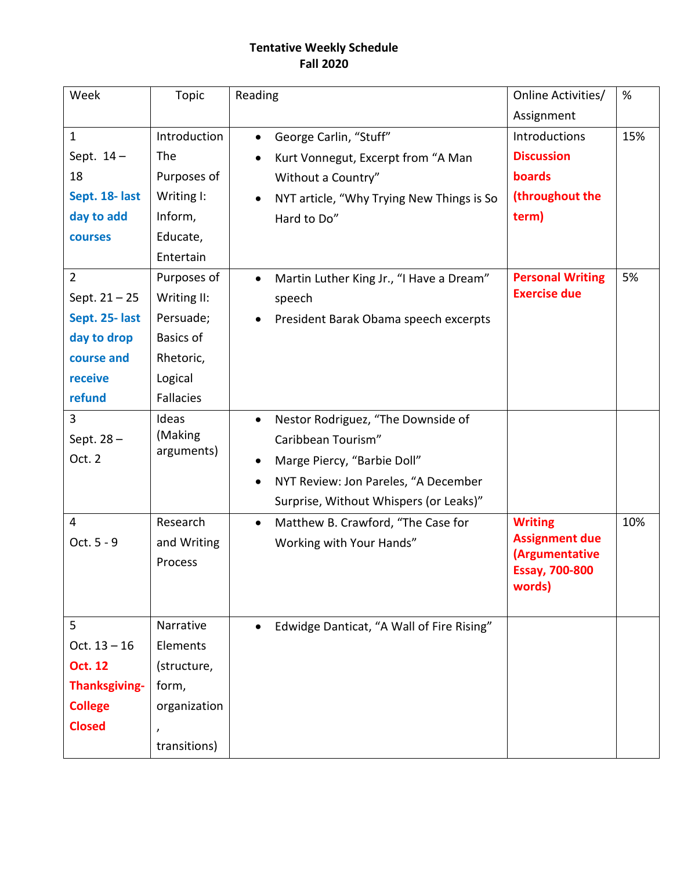# **Tentative Weekly Schedule Fall 2020**

| Week                 | <b>Topic</b>     | Reading                                                | Online Activities/                      | %   |
|----------------------|------------------|--------------------------------------------------------|-----------------------------------------|-----|
|                      |                  |                                                        | Assignment                              |     |
| $\mathbf{1}$         | Introduction     | George Carlin, "Stuff"<br>$\bullet$                    | Introductions                           | 15% |
| Sept. 14-            | The              | Kurt Vonnegut, Excerpt from "A Man<br>$\bullet$        | <b>Discussion</b>                       |     |
| 18                   | Purposes of      | Without a Country"                                     | boards                                  |     |
| Sept. 18- last       | Writing I:       | NYT article, "Why Trying New Things is So<br>$\bullet$ | (throughout the                         |     |
| day to add           | Inform,          | Hard to Do"                                            | term)                                   |     |
| courses              | Educate,         |                                                        |                                         |     |
|                      | Entertain        |                                                        |                                         |     |
| $\overline{2}$       | Purposes of      | Martin Luther King Jr., "I Have a Dream"<br>$\bullet$  | <b>Personal Writing</b>                 | 5%  |
| Sept. $21 - 25$      | Writing II:      | speech                                                 | <b>Exercise due</b>                     |     |
| Sept. 25- last       | Persuade;        | President Barak Obama speech excerpts<br>$\bullet$     |                                         |     |
| day to drop          | <b>Basics of</b> |                                                        |                                         |     |
| course and           | Rhetoric,        |                                                        |                                         |     |
| receive              | Logical          |                                                        |                                         |     |
| refund               | <b>Fallacies</b> |                                                        |                                         |     |
| 3                    | Ideas            | Nestor Rodriguez, "The Downside of<br>$\bullet$        |                                         |     |
| Sept. 28-            | (Making          | Caribbean Tourism"                                     |                                         |     |
| Oct. 2               | arguments)       | Marge Piercy, "Barbie Doll"<br>٠                       |                                         |     |
|                      |                  | NYT Review: Jon Pareles, "A December<br>$\bullet$      |                                         |     |
|                      |                  | Surprise, Without Whispers (or Leaks)"                 |                                         |     |
| 4                    | Research         | Matthew B. Crawford, "The Case for<br>$\bullet$        | <b>Writing</b>                          | 10% |
| Oct. 5 - 9           | and Writing      | Working with Your Hands"                               | <b>Assignment due</b>                   |     |
|                      | Process          |                                                        | (Argumentative<br><b>Essay, 700-800</b> |     |
|                      |                  |                                                        | words)                                  |     |
|                      |                  |                                                        |                                         |     |
| 5                    | Narrative        | Edwidge Danticat, "A Wall of Fire Rising"              |                                         |     |
| Oct. $13 - 16$       | Elements         |                                                        |                                         |     |
| <b>Oct. 12</b>       | (structure,      |                                                        |                                         |     |
| <b>Thanksgiving-</b> | form,            |                                                        |                                         |     |
| <b>College</b>       | organization     |                                                        |                                         |     |
| <b>Closed</b>        | $\prime$         |                                                        |                                         |     |
|                      | transitions)     |                                                        |                                         |     |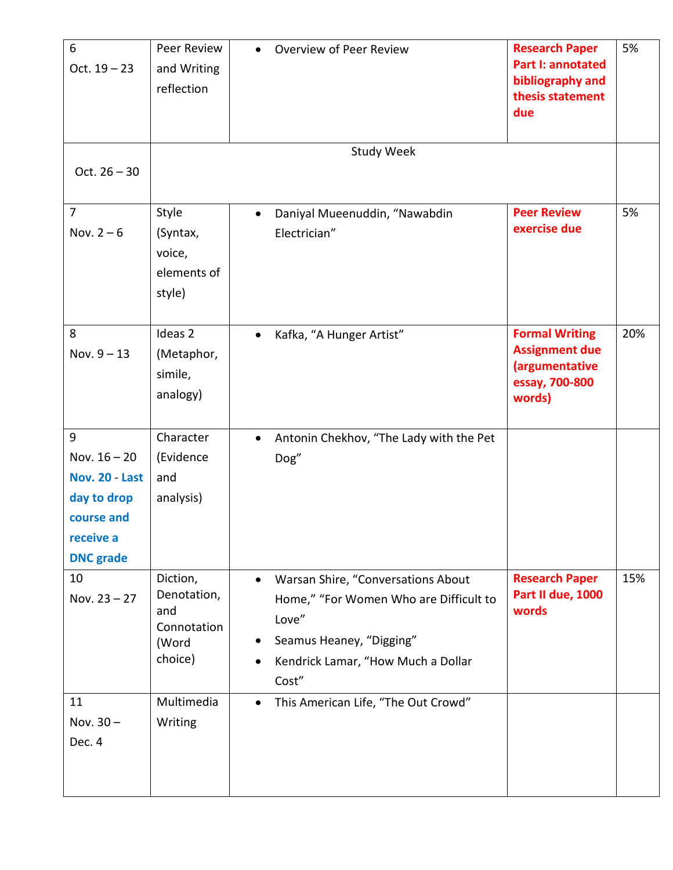| 6<br>Oct. $19 - 23$                                                                                 | Peer Review<br>and Writing<br>reflection                          | Overview of Peer Review<br>$\bullet$                                                                                                                                                       | <b>Research Paper</b><br><b>Part I: annotated</b><br>bibliography and<br>thesis statement<br>due | 5%  |
|-----------------------------------------------------------------------------------------------------|-------------------------------------------------------------------|--------------------------------------------------------------------------------------------------------------------------------------------------------------------------------------------|--------------------------------------------------------------------------------------------------|-----|
| Oct. $26 - 30$                                                                                      |                                                                   | <b>Study Week</b>                                                                                                                                                                          |                                                                                                  |     |
| $\overline{7}$<br>Nov. $2-6$                                                                        | Style<br>(Syntax,<br>voice,<br>elements of<br>style)              | Daniyal Mueenuddin, "Nawabdin<br>$\bullet$<br>Electrician"                                                                                                                                 | <b>Peer Review</b><br>exercise due                                                               | 5%  |
| 8<br>Nov. $9 - 13$                                                                                  | Ideas <sub>2</sub><br>(Metaphor,<br>simile,<br>analogy)           | Kafka, "A Hunger Artist"<br>$\bullet$                                                                                                                                                      | <b>Formal Writing</b><br><b>Assignment due</b><br>(argumentative<br>essay, 700-800<br>words)     | 20% |
| 9<br>Nov. $16 - 20$<br>Nov. 20 - Last<br>day to drop<br>course and<br>receive a<br><b>DNC</b> grade | Character<br>(Evidence<br>and<br>analysis)                        | Antonin Chekhov, "The Lady with the Pet<br>$\bullet$<br>Dog"                                                                                                                               |                                                                                                  |     |
| 10<br>Nov. $23 - 27$                                                                                | Diction,<br>Denotation,<br>and<br>Connotation<br>(Word<br>choice) | Warsan Shire, "Conversations About<br>$\bullet$<br>Home," "For Women Who are Difficult to<br>Love"<br>Seamus Heaney, "Digging"<br>$\bullet$<br>Kendrick Lamar, "How Much a Dollar<br>Cost" | <b>Research Paper</b><br>Part II due, 1000<br>words                                              | 15% |
| 11<br>Nov. $30 -$<br>Dec. 4                                                                         | Multimedia<br>Writing                                             | This American Life, "The Out Crowd"<br>$\bullet$                                                                                                                                           |                                                                                                  |     |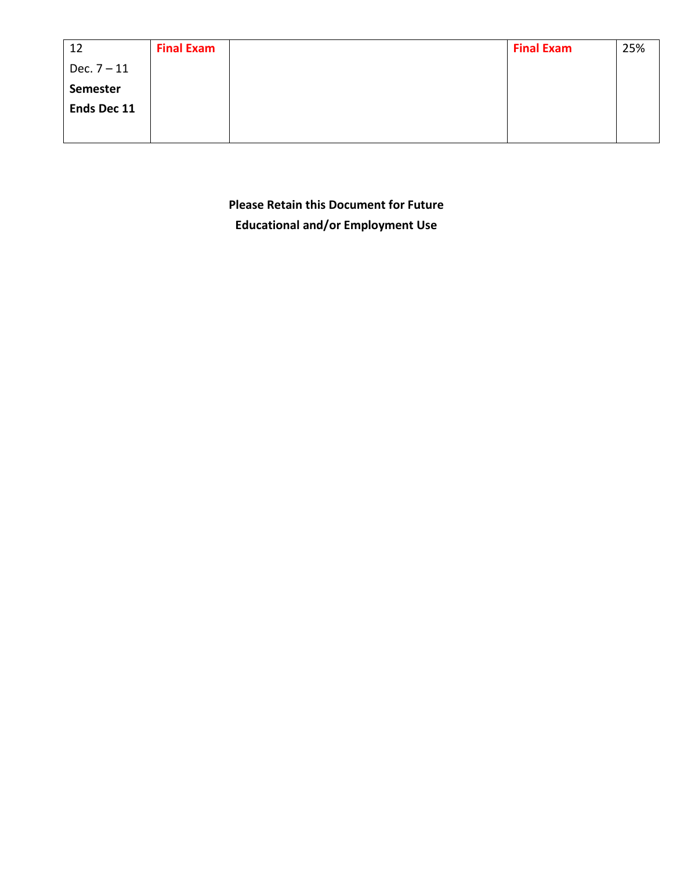| 12              | <b>Final Exam</b> | <b>Final Exam</b> | 25% |
|-----------------|-------------------|-------------------|-----|
| Dec. $7 - 11$   |                   |                   |     |
| <b>Semester</b> |                   |                   |     |
| Ends Dec 11     |                   |                   |     |
|                 |                   |                   |     |

**Please Retain this Document for Future Educational and/or Employment Use**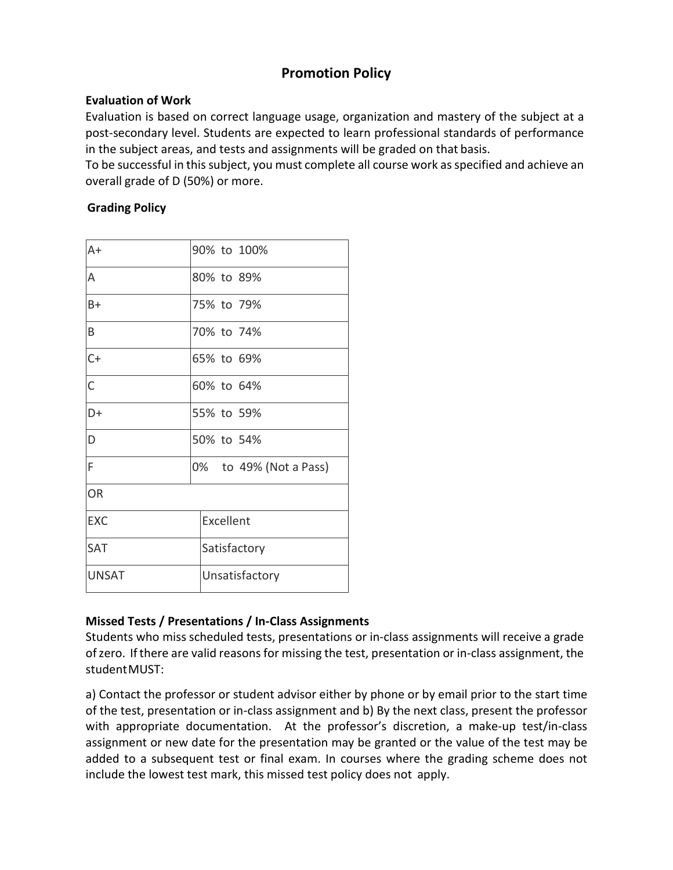# **Promotion Policy**

## **Evaluation of Work**

Evaluation is based on correct language usage, organization and mastery of the subject at a post-secondary level. Students are expected to learn professional standards of performance in the subject areas, and tests and assignments will be graded on that basis.

To be successful in this subject, you must complete all course work as specified and achieve an overall grade of D (50%) or more.

## **Grading Policy**

| $A+$           | 90% to 100%            |  |  |  |
|----------------|------------------------|--|--|--|
| A              | 80% to 89%             |  |  |  |
| $B+$           | 75% to 79%             |  |  |  |
| B              | 70% to 74%             |  |  |  |
| $C+$           | 65% to 69%             |  |  |  |
| $\overline{C}$ | 60% to 64%             |  |  |  |
| D+             | 55% to 59%             |  |  |  |
| D              | 50% to 54%             |  |  |  |
| F              | 0% to 49% (Not a Pass) |  |  |  |
| <b>OR</b>      |                        |  |  |  |
| <b>EXC</b>     | Excellent              |  |  |  |
| SAT            | Satisfactory           |  |  |  |
| <b>UNSAT</b>   | Unsatisfactory         |  |  |  |

## **Missed Tests / Presentations / In-Class Assignments**

Students who miss scheduled tests, presentations or in-class assignments will receive a grade of zero. If there are valid reasons for missing the test, presentation or in-class assignment, the studentMUST:

a) Contact the professor or student advisor either by phone or by email prior to the start time of the test, presentation or in-class assignment and b) By the next class, present the professor with appropriate documentation. At the professor's discretion, a make-up test/in-class assignment or new date for the presentation may be granted or the value of the test may be added to a subsequent test or final exam. In courses where the grading scheme does not include the lowest test mark, this missed test policy does not apply.